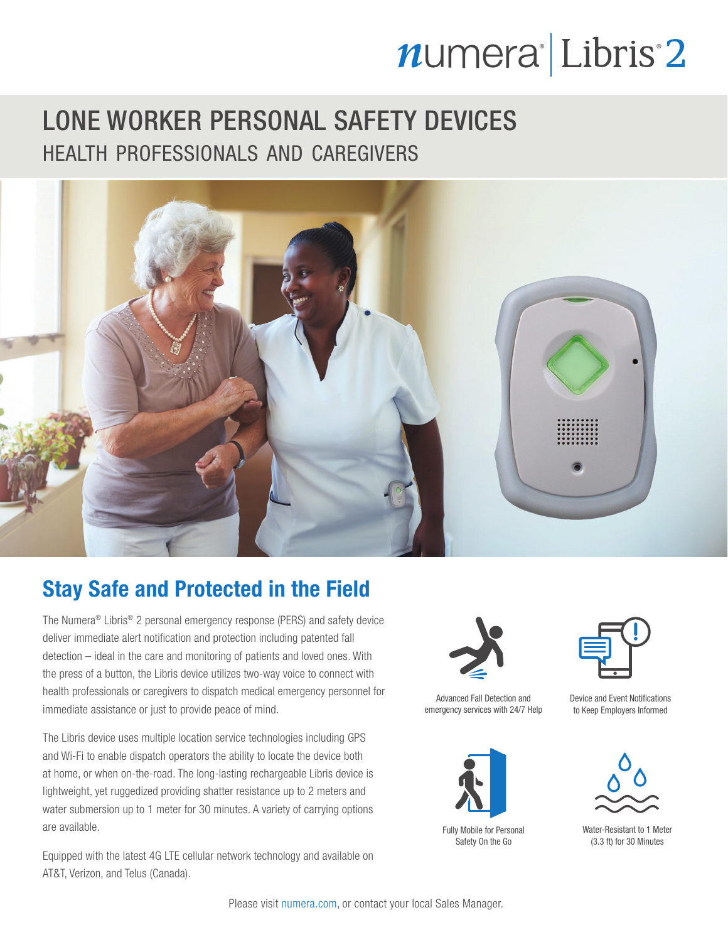# numera<sup>l</sup>Libris<sup>2</sup>

### LONE WORKER PERSONAL SAFETY DEVICES health professionals and caregivers



### Stay Safe and Protected in the Field

The Numera® Libris® 2 personal emergency response (PERS) and safety device deliver immediate alert notification and protection including patented fall detection – ideal in the care and monitoring of patients and loved ones. With the press of a button, the Libris device utilizes two-way voice to connect with health professionals or caregivers to dispatch medical emergency personnel for immediate assistance or just to provide peace of mind.

The Libris device uses multiple location service technologies including GPS and Wi-Fi to enable dispatch operators the ability to locate the device both at home, or when on-the-road. The long-lasting rechargeable Libris device is lightweight, yet ruggedized providing shatter resistance up to 2 meters and water submersion up to 1 meter for 30 minutes. A variety of carrying options are available.

Equipped with the latest 4G LTE cellular network technology and available on AT&T, Verizon, and Telus (Canada).



Advanced Fall Detection and emergency services with 24/7 Help



Fully Mobile for Personal Safety On the Go



Device and Event Notifications to Keep Employers Informed



Water-Resistant to 1 Meter (3.3 ft) for 30 Minutes

Please visit numera.com, or contact your local Sales Manager.